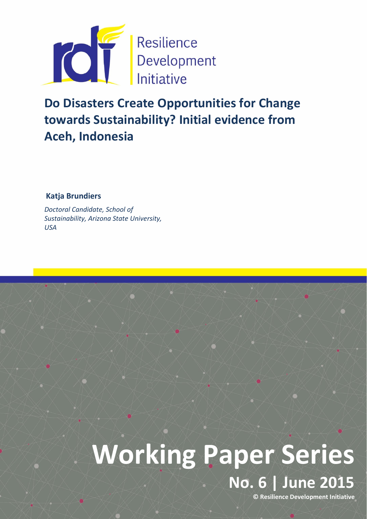

Do Disasters Create Opportunities for Change towards Sustainability? Initial evidence from Aceh, Indonesia

Katja Brundiers

*Doctoral Candidate, School of Sustainability, Arizona State University, USA*

# Working Paper Series No. 6 | June 2015 © Resilience Development Initiative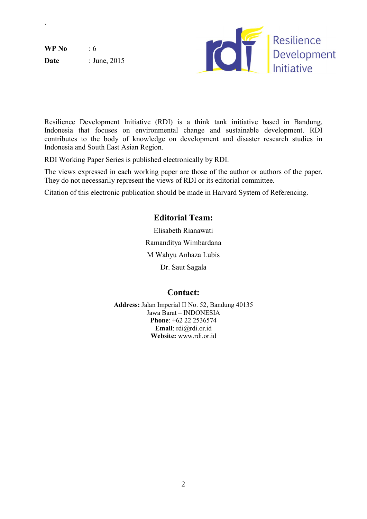$WP No$  : 6 **Date** : June, 2015

`



Resilience Development Initiative (RDI) is a think tank initiative based in Bandung, Indonesia that focuses on environmental change and sustainable development. RDI contributes to the body of knowledge on development and disaster research studies in Indonesia and South East Asian Region.

RDI Working Paper Series is published electronically by RDI.

The views expressed in each working paper are those of the author or authors of the paper. They do not necessarily represent the views of RDI or its editorial committee.

Citation of this electronic publication should be made in Harvard System of Referencing.

# Editorial Team:

Elisabeth Rianawati Ramanditya Wimbardana M Wahyu Anhaza Lubis Dr. Saut Sagala

# Contact:

Address: Jalan Imperial II No. 52, Bandung 40135 Jawa Barat – INDONESIA Phone: +62 22 2536574 Email: rdi@rdi.or.id Website: www.rdi.or.id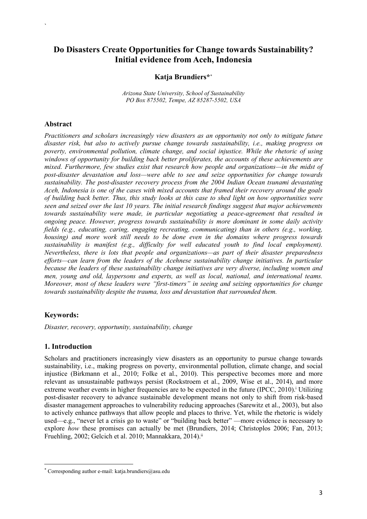# Do Disasters Create Opportunities for Change towards Sustainability? Initial evidence from Aceh, Indonesia

#### Katja Brundiers\*\*

*Arizona State University, School of Sustainability PO Box 875502, Tempe, AZ 85287-5502, USA*

#### Abstract

`

*Practitioners and scholars increasingly view disasters as an opportunity not only to mitigate future disaster risk, but also to actively pursue change towards sustainability, i.e., making progress on poverty, environmental pollution, climate change, and social injustice. While the rhetoric of using windows of opportunity for building back better proliferates, the accounts of these achievements are mixed. Furthermore, few studies exist that research how people and organizations—in the midst of post-disaster devastation and loss—were able to see and seize opportunities for change towards sustainability. The post-disaster recovery process from the 2004 Indian Ocean tsunami devastating Aceh, Indonesia is one of the cases with mixed accounts that framed their recovery around the goals of building back better. Thus, this study looks at this case to shed light on how opportunities were seen and seized over the last 10 years. The initial research findings suggest that major achievements towards sustainability were made, in particular negotiating a peace-agreement that resulted in ongoing peace. However, progress towards sustainability is more dominant in some daily activity fields (e.g., educating, caring, engaging recreating, communicating) than in others (e.g., working, housing) and more work still needs to be done even in the domains where progress towards sustainability is manifest (e.g., difficulty for well educated youth to find local employment). Nevertheless, there is lots that people and organizations—as part of their disaster preparedness efforts—can learn from the leaders of the Acehnese sustainability change initiatives. In particular because the leaders of these sustainability change initiatives are very diverse, including women and men, young and old, laypersons and experts, as well as local, national, and international teams. Moreover, most of these leaders were "first-timers" in seeing and seizing opportunities for change towards sustainability despite the trauma, loss and devastation that surrounded them.* 

## Keywords:

**.** 

*Disaster, recovery, opportunity, sustainability, change* 

## 1. Introduction

Scholars and practitioners increasingly view disasters as an opportunity to pursue change towards sustainability, i.e., making progress on poverty, environmental pollution, climate change, and social injustice (Birkmann et al., 2010; Folke et al., 2010). This perspective becomes more and more relevant as unsustainable pathways persist (Rockstroem et al., 2009, Wise et al., 2014), and more extreme weather events in higher frequencies are to be expected in the future (IPCC, 2010).<sup>*i*</sup> Utilizing post-disaster recovery to advance sustainable development means not only to shift from risk-based disaster management approaches to vulnerability reducing approaches (Sarewitz et al., 2003), but also to actively enhance pathways that allow people and places to thrive. Yet, while the rhetoric is widely used—e.g., "never let a crisis go to waste" or "building back better" —more evidence is necessary to explore *how* these promises can actually be met (Brundiers, 2014; Christoplos 2006; Fan, 2013; Fruehling, 2002; Gelcich et al. 2010; Mannakkara, 2014).<sup>ii</sup>

<sup>\*</sup> Corresponding author e-mail: katja.brundiers@asu.edu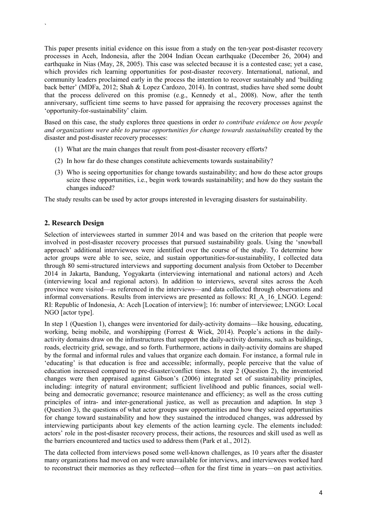This paper presents initial evidence on this issue from a study on the ten-year post-disaster recovery processes in Aceh, Indonesia, after the 2004 Indian Ocean earthquake (December 26, 2004) and earthquake in Nias (May, 28, 2005). This case was selected because it is a contested case; yet a case, which provides rich learning opportunities for post-disaster recovery. International, national, and community leaders proclaimed early in the process the intention to recover sustainably and 'building back better' (MDFa, 2012; Shah & Lopez Cardozo, 2014). In contrast, studies have shed some doubt that the process delivered on this promise (e.g., Kennedy et al., 2008). Now, after the tenth anniversary, sufficient time seems to have passed for appraising the recovery processes against the 'opportunity-for-sustainability' claim.

Based on this case, the study explores three questions in order *to contribute evidence on how people and organizations were able to pursue opportunities for change towards sustainability* created by the disaster and post-disaster recovery processes:

- (1) What are the main changes that result from post-disaster recovery efforts?
- (2) In how far do these changes constitute achievements towards sustainability?
- (3) Who is seeing opportunities for change towards sustainability; and how do these actor groups seize these opportunities, i.e., begin work towards sustainability; and how do they sustain the changes induced?

The study results can be used by actor groups interested in leveraging disasters for sustainability.

#### 2. Research Design

`

Selection of interviewees started in summer 2014 and was based on the criterion that people were involved in post-disaster recovery processes that pursued sustainability goals. Using the 'snowball approach' additional interviewees were identified over the course of the study. To determine how actor groups were able to see, seize, and sustain opportunities-for-sustainability, I collected data through 80 semi-structured interviews and supporting document analysis from October to December 2014 in Jakarta, Bandung, Yogyakarta (interviewing international and national actors) and Aceh (interviewing local and regional actors). In addition to interviews, several sites across the Aceh province were visited—as referenced in the interviews—and data collected through observations and informal conversations. Results from interviews are presented as follows: RI\_A\_16\_LNGO. Legend: RI: Republic of Indonesia, A: Aceh [Location of interview]; 16: number of interviewee; LNGO: Local NGO [actor type].

In step 1 (Question 1), changes were inventoried for daily-activity domains—like housing, educating, working, being mobile, and worshipping (Forrest & Wiek, 2014). People's actions in the dailyactivity domains draw on the infrastructures that support the daily-activity domains, such as buildings, roads, electricity grid, sewage, and so forth. Furthermore, actions in daily-activity domains are shaped by the formal and informal rules and values that organize each domain. For instance, a formal rule in 'educating' is that education is free and accessible; informally, people perceive that the value of education increased compared to pre-disaster/conflict times. In step 2 (Question 2), the inventoried changes were then appraised against Gibson's (2006) integrated set of sustainability principles, including: integrity of natural environment; sufficient livelihood and public finances, social wellbeing and democratic governance; resource maintenance and efficiency; as well as the cross cutting principles of intra- and inter-generational justice, as well as precaution and adaption. In step 3 (Question 3), the questions of what actor groups saw opportunities and how they seized opportunities for change toward sustainability and how they sustained the introduced changes, was addressed by interviewing participants about key elements of the action learning cycle. The elements included: actors' role in the post-disaster recovery process, their actions, the resources and skill used as well as the barriers encountered and tactics used to address them (Park et al., 2012).

The data collected from interviews posed some well-known challenges, as 10 years after the disaster many organizations had moved on and were unavailable for interviews, and interviewees worked hard to reconstruct their memories as they reflected—often for the first time in years—on past activities.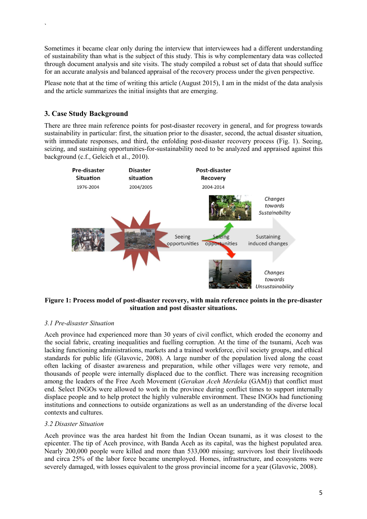Sometimes it became clear only during the interview that interviewees had a different understanding of sustainability than what is the subject of this study. This is why complementary data was collected through document analysis and site visits. The study compiled a robust set of data that should suffice for an accurate analysis and balanced appraisal of the recovery process under the given perspective.

Please note that at the time of writing this article (August 2015), I am in the midst of the data analysis and the article summarizes the initial insights that are emerging.

# 3. Case Study Background

`

There are three main reference points for post-disaster recovery in general, and for progress towards sustainability in particular: first, the situation prior to the disaster, second, the actual disaster situation, with immediate responses, and third, the enfolding post-disaster recovery process (Fig. 1). Seeing, seizing, and sustaining opportunities-for-sustainability need to be analyzed and appraised against this background (c.f., Gelcich et al., 2010).



Figure 1: Process model of post-disaster recovery, with main reference points in the pre-disaster situation and post disaster situations.

#### *3.1 Pre-disaster Situation*

Aceh province had experienced more than 30 years of civil conflict, which eroded the economy and the social fabric, creating inequalities and fuelling corruption. At the time of the tsunami, Aceh was lacking functioning administrations, markets and a trained workforce, civil society groups, and ethical standards for public life (Glavovic, 2008). A large number of the population lived along the coast often lacking of disaster awareness and preparation, while other villages were very remote, and thousands of people were internally displaced due to the conflict. There was increasing recognition among the leaders of the Free Aceh Movement (*Gerakan Aceh Merdeka* (GAM)) that conflict must end. Select INGOs were allowed to work in the province during conflict times to support internally displace people and to help protect the highly vulnerable environment. These INGOs had functioning institutions and connections to outside organizations as well as an understanding of the diverse local contexts and cultures.

#### *3.2 Disaster Situation*

Aceh province was the area hardest hit from the Indian Ocean tsunami, as it was closest to the epicenter. The tip of Aceh province, with Banda Aceh as its capital, was the highest populated area. Nearly 200,000 people were killed and more than 533,000 missing; survivors lost their livelihoods and circa 25% of the labor force became unemployed. Homes, infrastructure, and ecosystems were severely damaged, with losses equivalent to the gross provincial income for a year (Glavovic, 2008).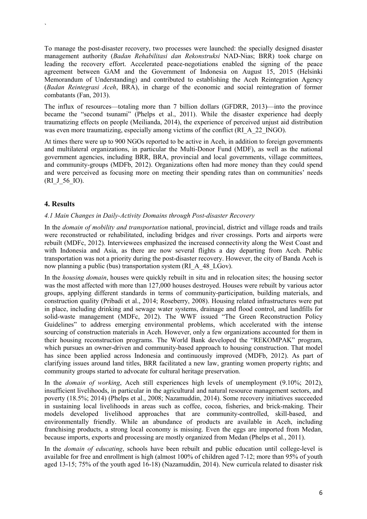To manage the post-disaster recovery, two processes were launched: the specially designed disaster management authority (*Badan Rehabilitasi dan Rekonstruksi* NAD-Nias; BRR) took charge on leading the recovery effort. Accelerated peace-negotiations enabled the signing of the peace agreement between GAM and the Government of Indonesia on August 15, 2015 (Helsinki Memorandum of Understanding) and contributed to establishing the Aceh Reintegration Agency (*Badan Reintegrasi Aceh*, BRA), in charge of the economic and social reintegration of former combatants (Fan, 2013).

The influx of resources—totaling more than 7 billion dollars (GFDRR, 2013)—into the province became the "second tsunami" (Phelps et al., 2011). While the disaster experience had deeply traumatizing effects on people (Meilianda, 2014), the experience of perceived unjust aid distribution was even more traumatizing, especially among victims of the conflict (RI A 22 INGO).

At times there were up to 900 NGOs reported to be active in Aceh, in addition to foreign governments and multilateral organizations, in particular the Multi-Donor Fund (MDF), as well as the national government agencies, including BRR, BRA, provincial and local governments, village committees, and community-groups (MDFb, 2012). Organizations often had more money than they could spend and were perceived as focusing more on meeting their spending rates than on communities' needs (RI\_J\_56\_IO).

# 4. Results

`

#### *4.1 Main Changes in Daily-Activity Domains through Post-disaster Recovery*

In the *domain of mobility and transportation* national, provincial, district and village roads and trails were reconstructed or rehabilitated, including bridges and river crossings. Ports and airports were rebuilt (MDFc, 2012). Interviewees emphasized the increased connectivity along the West Coast and with Indonesia and Asia, as there are now several flights a day departing from Aceh. Public transportation was not a priority during the post-disaster recovery. However, the city of Banda Aceh is now planning a public (bus) transportation system (RI A 48 LGov).

In the *housing domain*, houses were quickly rebuilt in situ and in relocation sites; the housing sector was the most affected with more than 127,000 houses destroyed. Houses were rebuilt by various actor groups, applying different standards in terms of community-participation, building materials, and construction quality (Pribadi et al., 2014; Roseberry, 2008). Housing related infrastructures were put in place, including drinking and sewage water systems, drainage and flood control, and landfills for solid-waste management (MDFc, 2012). The WWF issued "The Green Reconstruction Policy Guidelines" to address emerging environmental problems, which accelerated with the intense sourcing of construction materials in Aceh. However, only a few organizations accounted for them in their housing reconstruction programs. The World Bank developed the "REKOMPAK" program, which pursues an owner-driven and community-based approach to housing construction. That model has since been applied across Indonesia and continuously improved (MDFb, 2012). As part of clarifying issues around land titles, BRR facilitated a new law, granting women property rights; and community groups started to advocate for cultural heritage preservation.

In the *domain of working*, Aceh still experiences high levels of unemployment (9.10%; 2012), insufficient livelihoods, in particular in the agricultural and natural resource management sectors, and poverty (18.5%; 2014) (Phelps et al., 2008; Nazamuddin, 2014). Some recovery initiatives succeeded in sustaining local livelihoods in areas such as coffee, cocoa, fisheries, and brick-making. Their models developed livelihood approaches that are community-controlled, skill-based, and environmentally friendly. While an abundance of products are available in Aceh, including franchising products, a strong local economy is missing. Even the eggs are imported from Medan, because imports, exports and processing are mostly organized from Medan (Phelps et al., 2011).

In the *domain of educating*, schools have been rebuilt and public education until college-level is available for free and enrollment is high (almost 100% of children aged 7-12; more than 95% of youth aged 13-15; 75% of the youth aged 16-18) (Nazamuddin, 2014). New curricula related to disaster risk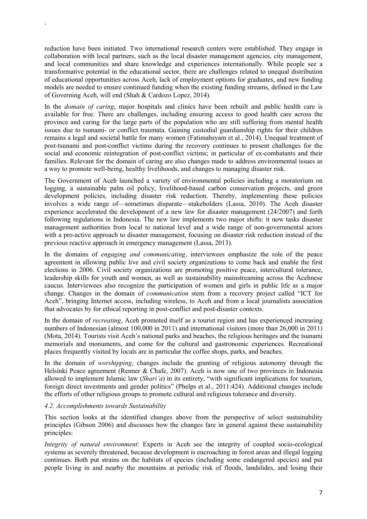reduction have been initiated. Two international research centers were established. They engage in collaboration with local partners, such as the local disaster management agencies, city management, and local communities and share knowledge and experiences internationally. While people see a transformative potential in the educational sector, there are challenges related to unequal distribution of educational opportunities across Aceh, lack of employment options for graduates, and new funding models are needed to ensure continued funding when the existing funding streams, defined in the Law of Governing Aceh, will end (Shah & Cardozo Lopez, 2014).

In the *domain of caring*, major hospitals and clinics have been rebuilt and public health care is available for free. There are challenges, including ensuring access to good health care across the province and caring for the large parts of the population who are still suffering from mental health issues due to tsunami- or conflict traumata. Gaining custodial guardianship rights for their children remains a legal and societal battle for many women (Fatimahsyam et al., 2014). Unequal treatment of post-tsunami and post-conflict victims during the recovery continues to present challenges for the social and economic reintegration of post-conflict victims; in particular of ex-combatants and their families. Relevant for the domain of caring are also changes made to address environmental issues as a way to promote well-being, healthy livelihoods, and changes to managing disaster risk.

The Government of Aceh launched a variety of environmental policies including a moratorium on logging, a sustainable palm oil policy, livelihood-based carbon conservation projects, and green development policies, including disaster risk reduction. Thereby, implementing these policies involves a wide range of—sometimes disparate—stakeholders (Lassa, 2010). The Aceh disaster experience accelerated the development of a new law for disaster management (24/2007) and forth following regulations in Indonesia. The new law implements two major shifts: it now tasks disaster management authorities from local to national level and a wide range of non-governmental actors with a pro-active approach to disaster management, focusing on disaster risk reduction instead of the previous reactive approach in emergency management (Lassa, 2013).

In the domains of *engaging and communicating*, interviewees emphasize the role of the peace agreement in allowing public live and civil society organizations to come back and enable the first elections in 2006. Civil society organizations are promoting positive peace, intercultural tolerance, leadership skills for youth and women, as well as sustainability mainstreaming across the Acehnese caucus. Interviewees also recognize the participation of women and girls in public life as a major change. Changes in the domain of *communication* stem from a recovery project called "ICT for Aceh", bringing Internet access, including wireless, to Aceh and from a local journalists association that advocates by for ethical reporting in post-conflict and post-disaster contexts.

In the domain of *recreating*, Aceh promoted itself as a tourist region and has experienced increasing numbers of Indonesian (almost 100,000 in 2011) and international visitors (more than 26,000 in 2011) (Mota, 2014). Tourists visit Aceh's national parks and beaches, the religious heritages and the tsunami memorials and monuments, and come for the cultural and gastronomic experiences. Recreational places frequently visited by locals are in particular the coffee shops, parks, and beaches.

In the domain of *worshipping*, changes include the granting of religious autonomy through the Helsinki Peace agreement (Renner & Chafe, 2007). Aceh is now one of two provinces in Indonesia allowed to implement Islamic law (*Shari'a*) in its entirety, "with significant implications for tourism, foreign direct investments and gender politics" (Phelps et al., 2011:424). Additional changes include the efforts of other religious groups to promote cultural and religious tolerance and diversity.

#### *4.2. Accomplishments towards Sustainability*

`

This section looks at the identified changes above from the perspective of select sustainability principles (Gibson 2006) and discusses how the changes fare in general against these sustainability principles:

*Integrity of natural environment*: Experts in Aceh see the integrity of coupled socio-ecological systems as severely threatened, because development is encroaching in forest areas and illegal logging continues. Both put strains on the habitats of species (including some endangered species) and put people living in and nearby the mountains at periodic risk of floods, landslides, and losing their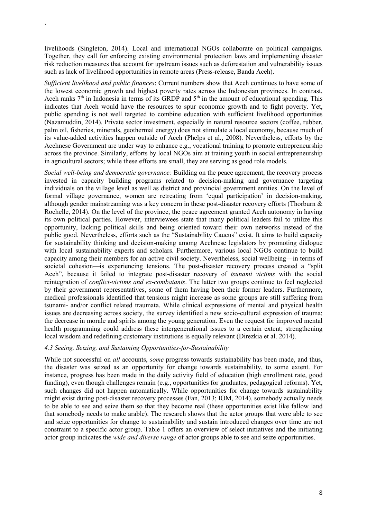livelihoods (Singleton, 2014). Local and international NGOs collaborate on political campaigns. Together, they call for enforcing existing environmental protection laws and implementing disaster risk reduction measures that account for upstream issues such as deforestation and vulnerability issues such as lack of livelihood opportunities in remote areas (Press-release, Banda Aceh).

`

*Sufficient livelihood and public finances*: Current numbers show that Aceh continues to have some of the lowest economic growth and highest poverty rates across the Indonesian provinces. In contrast, Aceh ranks  $7<sup>th</sup>$  in Indonesia in terms of its GRDP and  $5<sup>th</sup>$  in the amount of educational spending. This indicates that Aceh would have the resources to spur economic growth and to fight poverty. Yet, public spending is not well targeted to combine education with sufficient livelihood opportunities (Nazamuddin, 2014). Private sector investment, especially in natural resource sectors (coffee, rubber, palm oil, fisheries, minerals, geothermal energy) does not stimulate a local economy, because much of its value-added activities happen outside of Aceh (Phelps et al., 2008). Nevertheless, efforts by the Acehnese Government are under way to enhance e.g., vocational training to promote entrepreneurship across the province. Similarly, efforts by local NGOs aim at training youth in social entrepreneurship in agricultural sectors; while these efforts are small, they are serving as good role models.

*Social well-being and democratic governance:* Building on the peace agreement, the recovery process invested in capacity building programs related to decision-making and governance targeting individuals on the village level as well as district and provincial government entities. On the level of formal village governance, women are retreating from 'equal participation' in decision-making, although gender mainstreaming was a key concern in these post-disaster recovery efforts (Thorburn & Rochelle, 2014). On the level of the province, the peace agreement granted Aceh autonomy in having its own political parties. However, interviewees state that many political leaders fail to utilize this opportunity, lacking political skills and being oriented toward their own networks instead of the public good. Nevertheless, efforts such as the "Sustainability Caucus" exist. It aims to build capacity for sustainability thinking and decision-making among Acehnese legislators by promoting dialogue with local sustainability experts and scholars. Furthermore, various local NGOs continue to build capacity among their members for an active civil society. Nevertheless, social wellbeing—in terms of societal cohesion—is experiencing tensions. The post-disaster recovery process created a "split Aceh", because it failed to integrate post-disaster recovery of *tsunami victims* with the social reintegration of *conflict-victims and ex-combatants*. The latter two groups continue to feel neglected by their government representatives, some of them having been their former leaders. Furthermore, medical professionals identified that tensions might increase as some groups are still suffering from tsunami- and/or conflict related traumata. While clinical expressions of mental and physical health issues are decreasing across society, the survey identified a new socio-cultural expression of trauma; the decrease in morale and spirits among the young generation. Even the request for improved mental health programming could address these intergenerational issues to a certain extent; strengthening local wisdom and redefining customary institutions is equally relevant (Direzkia et al. 2014).

#### *4.3 Seeing, Seizing, and Sustaining Opportunities-for-Sustainability*

While not successful on *all* accounts, *some* progress towards sustainability has been made, and thus, the disaster was seized as an opportunity for change towards sustainability, to some extent. For instance, progress has been made in the daily activity field of education (high enrollment rate, good funding), even though challenges remain (e.g., opportunities for graduates, pedagogical reforms). Yet, such changes did not happen automatically. While opportunities for change towards sustainability might exist during post-disaster recovery processes (Fan, 2013; IOM, 2014), somebody actually needs to be able to see and seize them so that they become real (these opportunities exist like fallow land that somebody needs to make arable). The research shows that the actor groups that were able to see and seize opportunities for change to sustainability and sustain introduced changes over time are not constraint to a specific actor group. Table 1 offers an overview of select initiatives and the initiating actor group indicates the *wide and diverse range* of actor groups able to see and seize opportunities.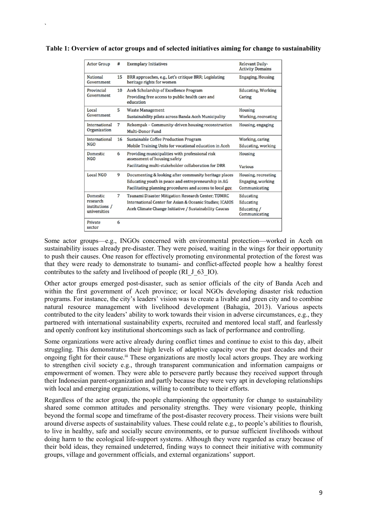| <b>Actor Group</b>                                            | #               | <b>Exemplary Initiatives</b>                                                                                                                                             | Relevant Daily-<br><b>Activity Domains</b>                |
|---------------------------------------------------------------|-----------------|--------------------------------------------------------------------------------------------------------------------------------------------------------------------------|-----------------------------------------------------------|
| <b>National</b><br>Government                                 | 15              | BRR approaches, e.g., Let's critique BRR; Legislating<br>heritage rights for women                                                                                       | <b>Engaging, Housing</b>                                  |
| Provincial<br>Government                                      | 10 <sup>1</sup> | Aceh Scholarship of Excellence Program<br>Providing free access to public health care and<br>education                                                                   | <b>Educating, Working</b><br>Caring                       |
| Local<br>Government                                           | 5               | <b>Waste Management</b><br>Sustainability pilots across Banda Aceh Municipality                                                                                          | <b>Housing</b><br>Working, recreating                     |
| International<br>Organization                                 | 7               | Rekompak - Community-driven housing reconstruction<br>Multi-Donor Fund                                                                                                   | Housing, engaging                                         |
| International<br><b>NGO</b>                                   | 16              | Sustainable Coffee Production Program<br>Mobile Training Units for vocational education in Aceh                                                                          | Working, caring<br>Educating, working                     |
| Domestic<br><b>NGO</b>                                        | 6               | Providing municipalities with professional risk<br>assessment of housing safety<br>Facilitating multi-stakeholder collaboration for DRR                                  | Housing<br><b>Various</b>                                 |
| Local NGO                                                     | 9               | Documenting & looking after community heritage places<br>Educating youth in peace and entrepreneurship in AG<br>Facilitating planning procedures and access to local gov | Housing, recreating<br>Engaging, working<br>Communicating |
| <b>Domestic</b><br>research<br>institutions /<br>universities | 7               | Tsunami Disaster Mitigation Research Center; TDMRC<br>International Center for Asian & Oceanic Studies: ICAIOS<br>Aceh Climate Change Initiative / Sustainability Caucus | Educating<br>Educating<br>Educating /<br>Communicating    |
| Private<br>sector                                             | 6               |                                                                                                                                                                          |                                                           |

#### Table 1: Overview of actor groups and of selected initiatives aiming for change to sustainability

`

Some actor groups—e.g., INGOs concerned with environmental protection—worked in Aceh on sustainability issues already pre-disaster. They were poised, waiting in the wings for their opportunity to push their causes. One reason for effectively promoting environmental protection of the forest was that they were ready to demonstrate to tsunami- and conflict-affected people how a healthy forest contributes to the safety and livelihood of people (RI\_J\_63\_IO).

Other actor groups emerged post-disaster, such as senior officials of the city of Banda Aceh and within the first government of Aceh province; or local NGOs developing disaster risk reduction programs. For instance, the city's leaders' vision was to create a livable and green city and to combine natural resource management with livelihood development (Bahagia, 2013). Various aspects contributed to the city leaders' ability to work towards their vision in adverse circumstances, e.g., they partnered with international sustainability experts, recruited and mentored local staff, and fearlessly and openly confront key institutional shortcomings such as lack of performance and controlling.

Some organizations were active already during conflict times and continue to exist to this day, albeit struggling. This demonstrates their high levels of adaptive capacity over the past decades and their ongoing fight for their cause.<sup>iii</sup> These organizations are mostly local actors groups. They are working to strengthen civil society e.g., through transparent communication and information campaigns or empowerment of women. They were able to persevere partly because they received support through their Indonesian parent-organization and partly because they were very apt in developing relationships with local and emerging organizations, willing to contribute to their efforts.

Regardless of the actor group, the people championing the opportunity for change to sustainability shared some common attitudes and personality strengths. They were visionary people, thinking beyond the formal scope and timeframe of the post-disaster recovery process. Their visions were built around diverse aspects of sustainability values. These could relate e.g., to people's abilities to flourish, to live in healthy, safe and socially secure environments, or to pursue sufficient livelihoods without doing harm to the ecological life-support systems. Although they were regarded as crazy because of their bold ideas, they remained undeterred, finding ways to connect their initiative with community groups, village and government officials, and external organizations' support.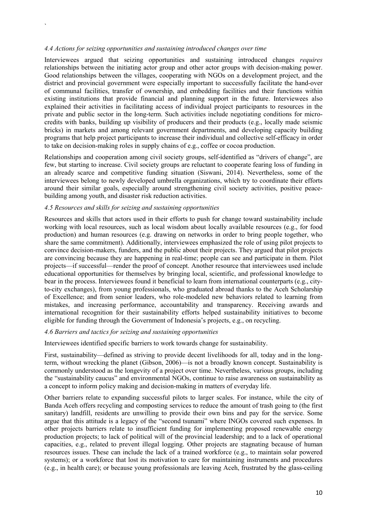#### *4.4 Actions for seizing opportunities and sustaining introduced changes over time*

`

Interviewees argued that seizing opportunities and sustaining introduced changes *requires* relationships between the initiating actor group and other actor groups with decision-making power. Good relationships between the villages, cooperating with NGOs on a development project, and the district and provincial government were especially important to successfully facilitate the hand-over of communal facilities, transfer of ownership, and embedding facilities and their functions within existing institutions that provide financial and planning support in the future. Interviewees also explained their activities in facilitating access of individual project participants to resources in the private and public sector in the long-term. Such activities include negotiating conditions for microcredits with banks, building up visibility of producers and their products (e.g., locally made seismic bricks) in markets and among relevant government departments, and developing capacity building programs that help project participants to increase their individual and collective self-efficacy in order to take on decision-making roles in supply chains of e.g., coffee or cocoa production.

Relationships and cooperation among civil society groups, self-identified as "drivers of change", are few, but starting to increase. Civil society groups are reluctant to cooperate fearing loss of funding in an already scarce and competitive funding situation (Siswani, 2014). Nevertheless, some of the interviewees belong to newly developed umbrella organizations, which try to coordinate their efforts around their similar goals, especially around strengthening civil society activities, positive peacebuilding among youth, and disaster risk reduction activities.

#### *4.5 Resources and skills for seizing and sustaining opportunities*

Resources and skills that actors used in their efforts to push for change toward sustainability include working with local resources, such as local wisdom about locally available resources (e.g., for food production) and human resources (e.g. drawing on networks in order to bring people together, who share the same commitment). Additionally, interviewees emphasized the role of using pilot projects to convince decision-makers, funders, and the public about their projects. They argued that pilot projects are convincing because they are happening in real-time; people can see and participate in them. Pilot projects—if successful—render the proof of concept. Another resource that interviewees used include educational opportunities for themselves by bringing local, scientific, and professional knowledge to bear in the process. Interviewees found it beneficial to learn from international counterparts (e.g., cityto-city exchanges), from young professionals, who graduated abroad thanks to the Aceh Scholarship of Excellence; and from senior leaders, who role-modeled new behaviors related to learning from mistakes, and increasing performance, accountability and transparency. Receiving awards and international recognition for their sustainability efforts helped sustainability initiatives to become eligible for funding through the Government of Indonesia's projects, e.g., on recycling.

#### *4.6 Barriers and tactics for seizing and sustaining opportunities*

Interviewees identified specific barriers to work towards change for sustainability.

First, sustainability—defined as striving to provide decent livelihoods for all, today and in the longterm, without wrecking the planet (Gibson, 2006)—is not a broadly known concept. Sustainability is commonly understood as the longevity of a project over time. Nevertheless, various groups, including the "sustainability caucus" and environmental NGOs, continue to raise awareness on sustainability as a concept to inform policy making and decision-making in matters of everyday life.

Other barriers relate to expanding successful pilots to larger scales. For instance, while the city of Banda Aceh offers recycling and composting services to reduce the amount of trash going to (the first sanitary) landfill, residents are unwilling to provide their own bins and pay for the service. Some argue that this attitude is a legacy of the "second tsunami" where INGOs covered such expenses. In other projects barriers relate to insufficient funding for implementing proposed renewable energy production projects; to lack of political will of the provincial leadership; and to a lack of operational capacities, e.g., related to prevent illegal logging. Other projects are stagnating because of human resources issues. These can include the lack of a trained workforce (e.g., to maintain solar powered systems); or a workforce that lost its motivation to care for maintaining instruments and procedures (e.g., in health care); or because young professionals are leaving Aceh, frustrated by the glass-ceiling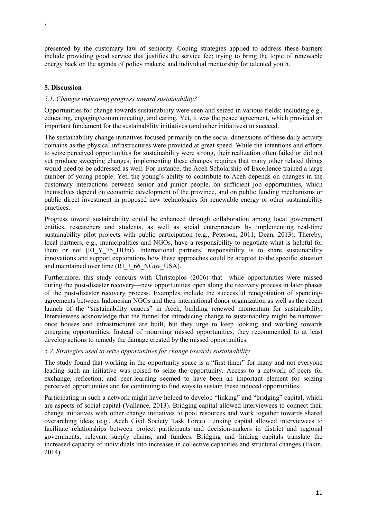presented by the customary law of seniority. Coping strategies applied to address these barriers include providing good service that justifies the service fee; trying to bring the topic of renewable energy back on the agenda of policy makers; and individual mentorship for talented youth.

## 5. Discussion

`

## *5.1. Changes indicating progress toward sustainability?*

Opportunities for change towards sustainability were seen and seized in various fields; including e.g., educating, engaging/communicating, and caring. Yet, it was the peace agreement, which provided an important fundament for the sustainability initiatives (and other initiatives) to succeed.

The sustainability change initiatives focused primarily on the social dimensions of these daily activity domains as the physical infrastructures were provided at great speed. While the intentions and efforts to seize perceived opportunities for sustainability were strong, their realization often failed or did not yet produce sweeping changes; implementing these changes requires that many other related things would need to be addressed as well. For instance, the Aceh Scholarship of Excellence trained a large number of young people. Yet, the young's ability to contribute to Aceh depends on changes in the customary interactions between senior and junior people, on sufficient job opportunities, which themselves depend on economic development of the province, and on public funding mechanisms or public direct investment in proposed new technologies for renewable energy or other sustainability practices.

Progress toward sustainability could be enhanced through collaboration among local government entities, researchers and students, as well as social entrepreneurs by implementing real-time sustainability pilot projects with public participation (e.g., Peterson, 2011; Dean, 2013). Thereby, local partners, e.g., municipalities and NGOs, have a responsibility to negotiate what is helpful for them or not (RI\_Y\_75\_DUni). International partners' responsibility is to share sustainability innovations and support explorations how these approaches could be adapted to the specific situation and maintained over time (RI J 66 NGov USA).

Furthermore, this study concurs with Christoplos (2006) that—while opportunities were missed during the post-disaster recovery—new opportunities open along the recovery process in later phases of the post-disaster recovery process. Examples include the successful renegotiation of spendingagreements between Indonesian NGOs and their international donor organization as well as the recent launch of the "sustainability caucus" in Aceh, building renewed momentum for sustainability. Interviewees acknowledge that the funnel for introducing change to sustainability might be narrower once houses and infrastructures are built, but they urge to keep looking and working towards emerging opportunities. Instead of mourning missed opportunities, they recommended to at least develop actions to remedy the damage created by the missed opportunities.

#### *5.2. Strategies used to seize opportunities for change towards sustainability*

The study found that working in the opportunity space is a "first timer" for many and not everyone leading such an initiative was poised to seize the opportunity. Access to a network of peers for exchange, reflection, and peer-learning seemed to have been an important element for seizing perceived opportunities and for continuing to find ways to sustain these induced opportunities.

Participating in such a network might have helped to develop "linking" and "bridging" capital, which are aspects of social capital (Vallance, 2013). Bridging capital allowed interviewees to connect their change initiatives with other change initiatives to pool resources and work together towards shared overarching ideas (e.g., Aceh Civil Society Task Force). Linking capital allowed interviewees to facilitate relationships between project participants and decision-makers in district and regional governments, relevant supply chains, and funders. Bridging and linking capitals translate the increased capacity of individuals into increases in collective capacities and structural changes (Eakin, 2014).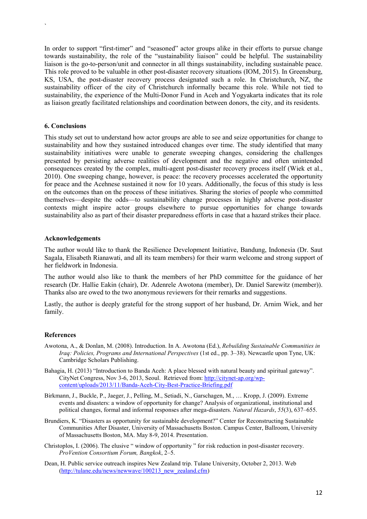In order to support "first-timer" and "seasoned" actor groups alike in their efforts to pursue change towards sustainability, the role of the "sustainability liaison" could be helpful. The sustainability liaison is the go-to-person/unit and connector in all things sustainability, including sustainable peace. This role proved to be valuable in other post-disaster recovery situations (IOM, 2015). In Greensburg, KS, USA, the post-disaster recovery process designated such a role. In Christchurch, NZ, the sustainability officer of the city of Christchurch informally became this role. While not tied to sustainability, the experience of the Multi-Donor Fund in Aceh and Yogyakarta indicates that its role as liaison greatly facilitated relationships and coordination between donors, the city, and its residents.

#### 6. Conclusions

`

This study set out to understand how actor groups are able to see and seize opportunities for change to sustainability and how they sustained introduced changes over time. The study identified that many sustainability initiatives were unable to generate sweeping changes, considering the challenges presented by persisting adverse realities of development and the negative and often unintended consequences created by the complex, multi-agent post-disaster recovery process itself (Wiek et al., 2010). One sweeping change, however, is peace: the recovery processes accelerated the opportunity for peace and the Acehnese sustained it now for 10 years. Additionally, the focus of this study is less on the outcomes than on the process of these initiatives. Sharing the stories of people who committed themselves—despite the odds—to sustainability change processes in highly adverse post-disaster contexts might inspire actor groups elsewhere to pursue opportunities for change towards sustainability also as part of their disaster preparedness efforts in case that a hazard strikes their place.

#### Acknowledgements

The author would like to thank the Resilience Development Initiative, Bandung, Indonesia (Dr. Saut Sagala, Elisabeth Rianawati, and all its team members) for their warm welcome and strong support of her fieldwork in Indonesia.

The author would also like to thank the members of her PhD committee for the guidance of her research (Dr. Hallie Eakin (chair), Dr. Adenrele Awotona (member), Dr. Daniel Sarewitz (member)). Thanks also are owed to the two anonymous reviewers for their remarks and suggestions.

Lastly, the author is deeply grateful for the strong support of her husband, Dr. Arnim Wiek, and her family.

#### References

- Awotona, A., & Donlan, M. (2008). Introduction. In A. Awotona (Ed.), *Rebuilding Sustainable Communities in Iraq: Policies, Programs and International Perspectives* (1st ed., pp. 3–38). Newcastle upon Tyne, UK: Cambridge Scholars Publishing.
- Bahagia, H. (2013) "Introduction to Banda Aceh: A place blessed with natural beauty and spiritual gateway". CityNet Congress, Nov 3-6, 2013, Seoul. Retrieved from: [http://citynet-ap.org/wp](http://citynet-ap.org/wp-content/uploads/2013/11/Banda-Aceh-City-Best-Practice-Briefing.pdf)[content/uploads/2013/11/Banda-Aceh-City-Best-Practice-Briefing.pdf](http://citynet-ap.org/wp-content/uploads/2013/11/Banda-Aceh-City-Best-Practice-Briefing.pdf)
- Birkmann, J., Buckle, P., Jaeger, J., Pelling, M., Setiadi, N., Garschagen, M., … Kropp, J. (2009). Extreme events and disasters: a window of opportunity for change? Analysis of organizational, institutional and political changes, formal and informal responses after mega-disasters. *Natural Hazards*, *55*(3), 637–655.
- Brundiers, K. "Disasters as opportunity for sustainable development?" Center for Reconstructing Sustainable Communities After Disaster, University of Massachusetts Boston. Campus Center, Ballroom, University of Massachusetts Boston, MA. May 8-9, 2014. Presentation.
- Christoplos, I. (2006). The elusive " window of opportunity " for risk reduction in post-disaster recovery. *ProVention Consortium Forum, Bangkok*, 2–5.
- Dean, H. Public service outreach inspires New Zealand trip. Tulane University, October 2, 2013. Web [\(http://tulane.edu/news/newwave/100213\\_new\\_zealand.cfm](http://tulane.edu/news/newwave/100213_new_zealand.cfm))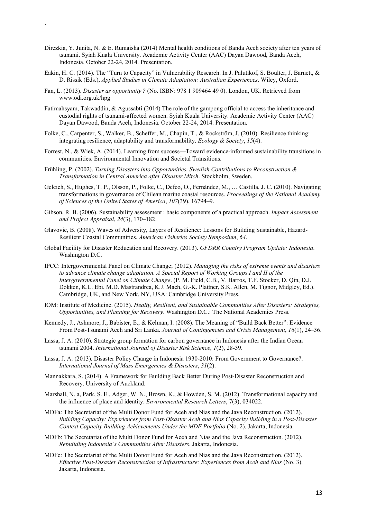- Direzkia, Y. Junita, N. & E. Rumaisha (2014) Mental health conditions of Banda Aceh society after ten years of tsunami. Syiah Kuala University. Academic Activity Center (AAC) Dayan Dawood, Banda Aceh, Indonesia. October 22-24, 2014. Presentation.
- Eakin, H. C. (2014). The "Turn to Capacity" in Vulnerability Research. In J. Palutikof, S. Boulter, J. Barnett, & D. Rissik (Eds.), *Applied Studies in Climate Adaptation: Australian Experiences*. Wiley, Oxford.
- Fan, L. (2013). *Disaster as opportunity ?* (No. ISBN: 978 1 909464 49 0). London, UK. Retrieved from www.odi.org.uk/hpg

`

- Fatimahsyam, Takwaddin, & Agussabti (2014) The role of the gampong official to access the inheritance and custodial rights of tsunami-affected women. Syiah Kuala University. Academic Activity Center (AAC) Dayan Dawood, Banda Aceh, Indonesia. October 22-24, 2014. Presentation.
- Folke, C., Carpenter, S., Walker, B., Scheffer, M., Chapin, T., & Rockström, J. (2010). Resilience thinking: integrating resilience, adaptability and transformability. *Ecology & Society*, *15*(4).
- Forrest, N., & Wiek, A. (2014). Learning from success—Toward evidence-informed sustainability transitions in communities. Environmental Innovation and Societal Transitions.
- Frühling, P. (2002). *Turning Disasters into Opportunities. Swedish Contributions to Reconstruction & Transformation in Central America after Disaster Mitch*. Stockholm, Sweden.
- Gelcich, S., Hughes, T. P., Olsson, P., Folke, C., Defeo, O., Fernández, M., … Castilla, J. C. (2010). Navigating transformations in governance of Chilean marine coastal resources. *Proceedings of the National Academy of Sciences of the United States of America*, *107*(39), 16794–9.
- Gibson, R. B. (2006). Sustainability assessment : basic components of a practical approach. *Impact Assessment and Project Appraisal*, *24*(3), 170–182.
- Glavovic, B. (2008). Waves of Adversity, Layers of Resilience: Lessons for Building Sustainable, Hazard-Resilient Coastal Communities. *American Fisheries Society Symposium*, *64*.
- Global Facility for Disaster Reducation and Recovery. (2013). *GFDRR Country Program Update: Indonesia*. Washington D.C.
- IPCC: Intergovernmental Panel on Climate Change; (2012). *Managing the risks of extreme events and disasters to advance climate change adaptation. A Special Report of Working Groups I and II of the Intergovernmental Panel on Climate Change*. (P. M. Field, C.B., V. Barros, T.F. Stocker, D. Qin, D.J. Dokken, K.L. Ebi, M.D. Mastrandrea, K.J. Mach, G.-K. Plattner, S.K. Allen, M. Tignor, Midgley, Ed.). Cambridge, UK, and New York, NY, USA: Cambridge University Press.
- IOM: Institute of Medicine. (2015). *Healty, Resilient, and Sustainable Communities After Disasters: Strategies, Opportunities, and Planning for Recovery*. Washington D.C.: The National Academies Press.
- Kennedy, J., Ashmore, J., Babister, E., & Kelman, I. (2008). The Meaning of "Build Back Better": Evidence From Post-Tsunami Aceh and Sri Lanka. *Journal of Contingencies and Crisis Management*, *16*(1), 24–36.
- Lassa, J. A. (2010). Strategic group formation for carbon governance in Indonesia after the Indian Ocean tsunami 2004. *International Journal of Disaster Risk Science*, *1*(2), 28-39.
- Lassa, J. A. (2013). Disaster Policy Change in Indonesia 1930-2010: From Government to Governance?. *International Journal of Mass Emergencies & Disasters*, *31*(2).
- Mannakkara, S. (2014). A Framework for Building Back Better During Post-Disaster Reconstruction and Recovery. University of Auckland.
- Marshall, N. a, Park, S. E., Adger, W. N., Brown, K., & Howden, S. M. (2012). Transformational capacity and the influence of place and identity. *Environmental Research Letters*, 7(3), 034022.
- MDFa: The Secretariat of the Multi Donor Fund for Aceh and Nias and the Java Reconstruction. (2012). *Building Capacity: Experiences from Post-Disaster Aceh and Nias Capacity Building in a Post-Disaster Context Capacity Building Achievements Under the MDF Portfolio* (No. 2). Jakarta, Indonesia.
- MDFb: The Secretariat of the Multi Donor Fund for Aceh and Nias and the Java Reconstruction. (2012). *Rebuilding Indonesia's Communities After Disasters*. Jakarta, Indonesia.
- MDFc: The Secretariat of the Multi Donor Fund for Aceh and Nias and the Java Reconstruction. (2012). *Effective Post-Disaster Reconstruction of Infrastructure: Experiences from Aceh and Nias* (No. 3). Jakarta, Indonesia.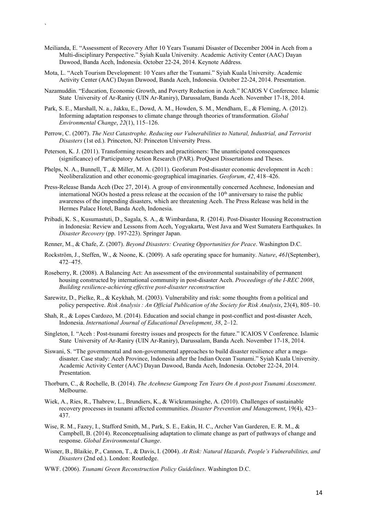Meilianda, E. "Assessment of Recovery After 10 Years Tsunami Disaster of December 2004 in Aceh from a Multi-disciplinary Perspective." Syiah Kuala University. Academic Activity Center (AAC) Dayan Dawood, Banda Aceh, Indonesia. October 22-24, 2014. Keynote Address.

`

- Mota, L. "Aceh Tourism Development: 10 Years after the Tsunami." Syiah Kuala University. Academic Activity Center (AAC) Dayan Dawood, Banda Aceh, Indonesia. October 22-24, 2014. Presentation.
- Nazamuddin. "Education, Economic Growth, and Poverty Reduction in Aceh." ICAIOS V Conference. Islamic State University of Ar-Raniry (UIN Ar-Raniry), Darussalam, Banda Aceh. November 17-18, 2014.
- Park, S. E., Marshall, N. a., Jakku, E., Dowd, A. M., Howden, S. M., Mendham, E., & Fleming, A. (2012). Informing adaptation responses to climate change through theories of transformation. *Global Environmental Change*, *22*(1), 115–126.
- Perrow, C. (2007). *The Next Catastrophe. Reducing our Vulnerabilities to Natural, Industrial, and Terrorist Disasters* (1st ed.). Princeton, NJ: Princeton University Press.
- Peterson, K. J. (2011). Transforming researchers and practitioners: The unanticipated consequences (significance) of Participatory Action Research (PAR). ProQuest Dissertations and Theses.
- Phelps, N. A., Bunnell, T., & Miller, M. A. (2011). Geoforum Post-disaster economic development in Aceh : Neoliberalization and other economic-geographical imaginaries. *Geoforum*, *42*, 418–426.
- Press-Release Banda Aceh (Dec 27, 2014). A group of environmentally concerned Acehnese, Indonesian and international NGOs hosted a press release at the occasion of the  $10<sup>th</sup>$  anniversary to raise the public awareness of the impending disasters, which are threatening Aceh. The Press Release was held in the Hermes Palace Hotel, Banda Aceh, Indonesia.
- Pribadi, K. S., Kusumastuti, D., Sagala, S. A., & Wimbardana, R. (2014). Post-Disaster Housing Reconstruction in Indonesia: Review and Lessons from Aceh, Yogyakarta, West Java and West Sumatera Earthquakes. In *Disaster Recovery* (pp. 197-223). Springer Japan.
- Renner, M., & Chafe, Z. (2007). *Beyond Disasters: Creating Opportunities for Peace*. Washington D.C.
- Rockström, J., Steffen, W., & Noone, K. (2009). A safe operating space for humanity. *Nature*, *461*(September), 472–475.
- Roseberry, R. (2008). A Balancing Act: An assessment of the environmental sustainability of permanent housing constructed by international community in post-disaster Aceh. *Proceedings of the I-REC 2008*, *Building resilience-achieving effective post-disaster reconstruction*
- Sarewitz, D., Pielke, R., & Keykhah, M. (2003). Vulnerability and risk: some thoughts from a political and policy perspective. *Risk Analysis : An Official Publication of the Society for Risk Analysis*, 23(4), 805–10.
- Shah, R., & Lopes Cardozo, M. (2014). Education and social change in post-conflict and post-disaster Aceh, Indonesia. *International Journal of Educational Development*, *38*, 2–12.
- Singleton, I. "Aceh : Post-tsunami forestry issues and prospects for the future." ICAIOS V Conference. Islamic State University of Ar-Raniry (UIN Ar-Raniry), Darussalam, Banda Aceh. November 17-18, 2014.
- Siswani, S. "The governmental and non-governmental approaches to build disaster resilience after a megadisaster. Case study: Aceh Province, Indonesia after the Indian Ocean Tsunami." Syiah Kuala University. Academic Activity Center (AAC) Dayan Dawood, Banda Aceh, Indonesia. October 22-24, 2014. Presentation.
- Thorburn, C., & Rochelle, B. (2014). *The Acehnese Gampong Ten Years On A post-post Tsunami Assessment*. Melbourne.
- Wiek, A., Ries, R., Thabrew, L., Brundiers, K., & Wickramasinghe, A. (2010). Challenges of sustainable recovery processes in tsunami affected communities. *Disaster Prevention and Management*, 19(4), 423– 437.
- Wise, R. M., Fazey, I., Stafford Smith, M., Park, S. E., Eakin, H. C., Archer Van Garderen, E. R. M., & Campbell, B. (2014). Reconceptualising adaptation to climate change as part of pathways of change and response. *Global Environmental Change*.
- Wisner, B., Blaikie, P., Cannon, T., & Davis, I. (2004). *At Risk: Natural Hazards, People's Vulnerabilities, and Disasters* (2nd ed.). London: Routledge.
- WWF. (2006). *Tsunami Green Reconstruction Policy Guidelines*. Washington D.C.